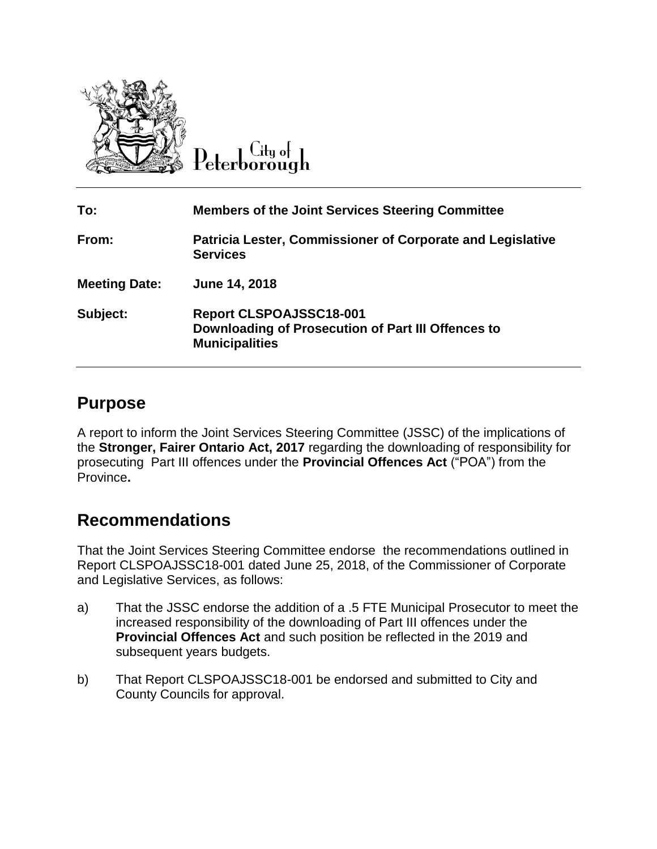

 $C$ ity o $\vdash$ Peterborough

| To:                  | <b>Members of the Joint Services Steering Committee</b>                                                       |
|----------------------|---------------------------------------------------------------------------------------------------------------|
| From:                | Patricia Lester, Commissioner of Corporate and Legislative<br><b>Services</b>                                 |
| <b>Meeting Date:</b> | June 14, 2018                                                                                                 |
| Subject:             | <b>Report CLSPOAJSSC18-001</b><br>Downloading of Prosecution of Part III Offences to<br><b>Municipalities</b> |

## **Purpose**

A report to inform the Joint Services Steering Committee (JSSC) of the implications of the **Stronger, Fairer Ontario Act, 2017** regarding the downloading of responsibility for prosecuting Part III offences under the **Provincial Offences Act** ("POA") from the Province**.**

## **Recommendations**

That the Joint Services Steering Committee endorse the recommendations outlined in Report CLSPOAJSSC18-001 dated June 25, 2018, of the Commissioner of Corporate and Legislative Services, as follows:

- a) That the JSSC endorse the addition of a .5 FTE Municipal Prosecutor to meet the increased responsibility of the downloading of Part III offences under the **Provincial Offences Act** and such position be reflected in the 2019 and subsequent years budgets.
- b) That Report CLSPOAJSSC18-001 be endorsed and submitted to City and County Councils for approval.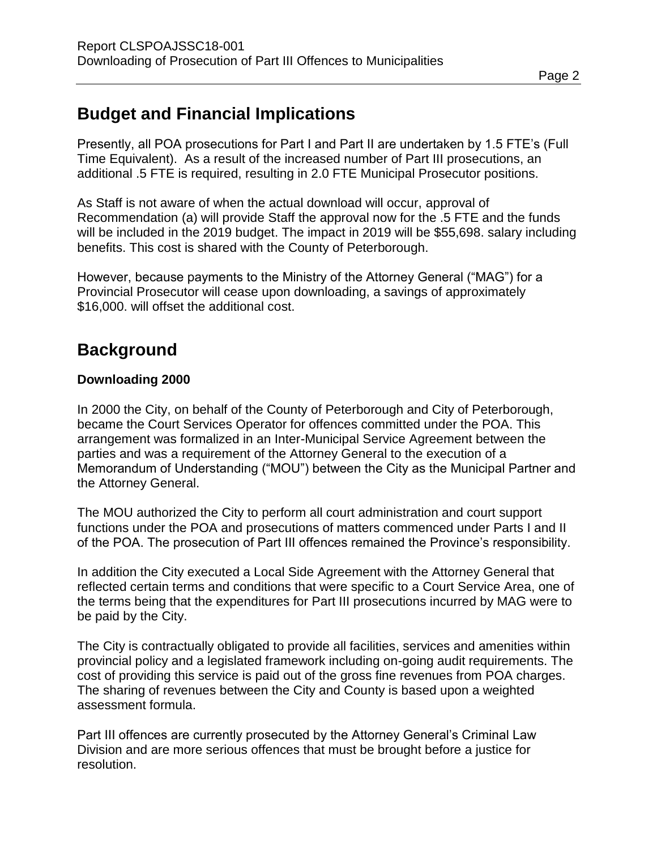# **Budget and Financial Implications**

Presently, all POA prosecutions for Part I and Part II are undertaken by 1.5 FTE's (Full Time Equivalent). As a result of the increased number of Part III prosecutions, an additional .5 FTE is required, resulting in 2.0 FTE Municipal Prosecutor positions.

As Staff is not aware of when the actual download will occur, approval of Recommendation (a) will provide Staff the approval now for the .5 FTE and the funds will be included in the 2019 budget. The impact in 2019 will be \$55,698. salary including benefits. This cost is shared with the County of Peterborough.

However, because payments to the Ministry of the Attorney General ("MAG") for a Provincial Prosecutor will cease upon downloading, a savings of approximately \$16,000. will offset the additional cost.

# **Background**

### **Downloading 2000**

In 2000 the City, on behalf of the County of Peterborough and City of Peterborough, became the Court Services Operator for offences committed under the POA. This arrangement was formalized in an Inter-Municipal Service Agreement between the parties and was a requirement of the Attorney General to the execution of a Memorandum of Understanding ("MOU") between the City as the Municipal Partner and the Attorney General.

The MOU authorized the City to perform all court administration and court support functions under the POA and prosecutions of matters commenced under Parts I and II of the POA. The prosecution of Part III offences remained the Province's responsibility.

In addition the City executed a Local Side Agreement with the Attorney General that reflected certain terms and conditions that were specific to a Court Service Area, one of the terms being that the expenditures for Part III prosecutions incurred by MAG were to be paid by the City.

The City is contractually obligated to provide all facilities, services and amenities within provincial policy and a legislated framework including on-going audit requirements. The cost of providing this service is paid out of the gross fine revenues from POA charges. The sharing of revenues between the City and County is based upon a weighted assessment formula.

Part III offences are currently prosecuted by the Attorney General's Criminal Law Division and are more serious offences that must be brought before a justice for resolution.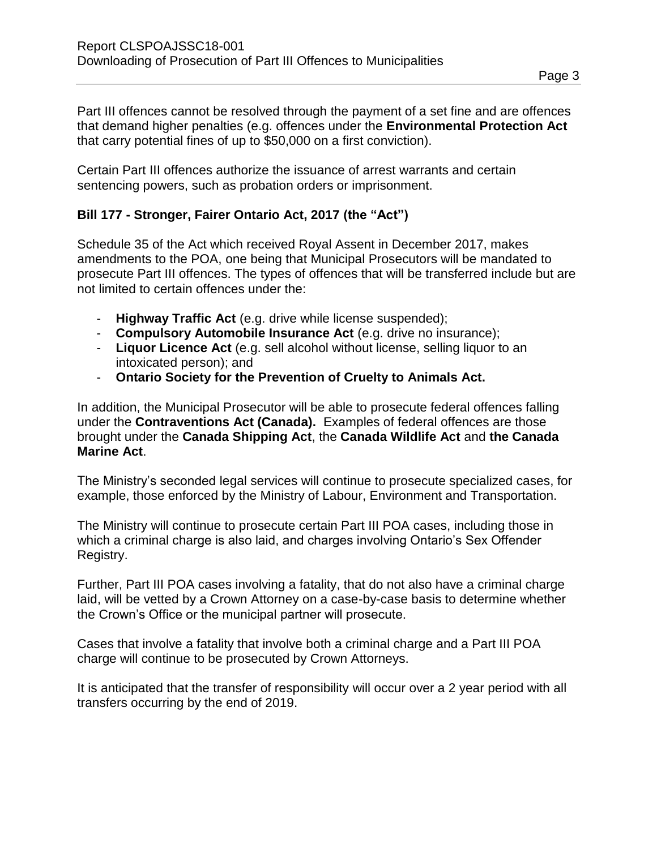Part III offences cannot be resolved through the payment of a set fine and are offences that demand higher penalties (e.g. offences under the **Environmental Protection Act** that carry potential fines of up to \$50,000 on a first conviction).

Certain Part III offences authorize the issuance of arrest warrants and certain sentencing powers, such as probation orders or imprisonment.

### **Bill 177 - Stronger, Fairer Ontario Act, 2017 (the "Act")**

Schedule 35 of the Act which received Royal Assent in December 2017, makes amendments to the POA, one being that Municipal Prosecutors will be mandated to prosecute Part III offences. The types of offences that will be transferred include but are not limited to certain offences under the:

- **Highway Traffic Act** (e.g. drive while license suspended);
- **Compulsory Automobile Insurance Act** (e.g. drive no insurance);
- **Liquor Licence Act** (e.g. sell alcohol without license, selling liquor to an intoxicated person); and
- **Ontario Society for the Prevention of Cruelty to Animals Act.**

In addition, the Municipal Prosecutor will be able to prosecute federal offences falling under the **Contraventions Act (Canada).** Examples of federal offences are those brought under the **Canada Shipping Act**, the **Canada Wildlife Act** and **the Canada Marine Act**.

The Ministry's seconded legal services will continue to prosecute specialized cases, for example, those enforced by the Ministry of Labour, Environment and Transportation.

The Ministry will continue to prosecute certain Part III POA cases, including those in which a criminal charge is also laid, and charges involving Ontario's Sex Offender Registry.

Further, Part III POA cases involving a fatality, that do not also have a criminal charge laid, will be vetted by a Crown Attorney on a case-by-case basis to determine whether the Crown's Office or the municipal partner will prosecute.

Cases that involve a fatality that involve both a criminal charge and a Part III POA charge will continue to be prosecuted by Crown Attorneys.

It is anticipated that the transfer of responsibility will occur over a 2 year period with all transfers occurring by the end of 2019.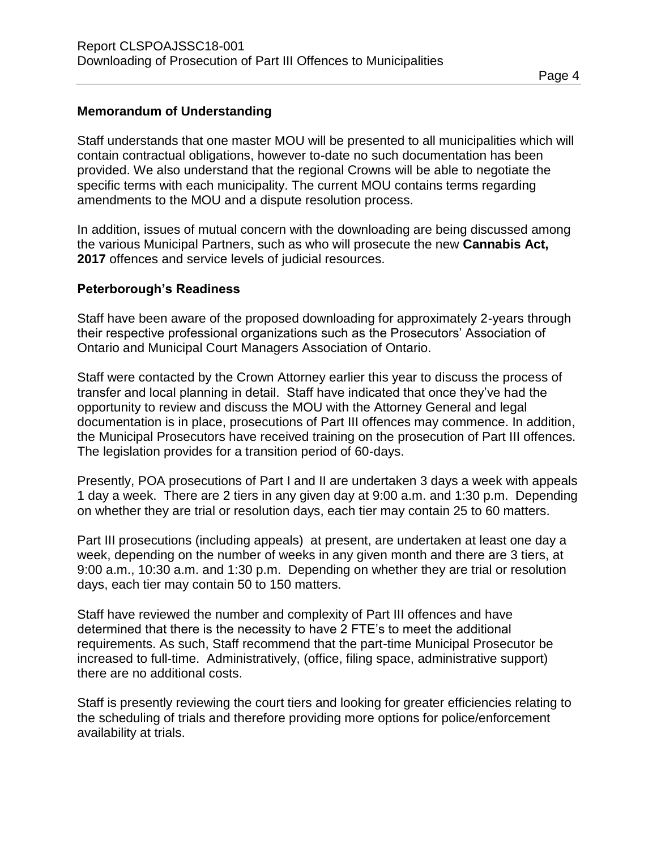#### **Memorandum of Understanding**

Staff understands that one master MOU will be presented to all municipalities which will contain contractual obligations, however to-date no such documentation has been provided. We also understand that the regional Crowns will be able to negotiate the specific terms with each municipality. The current MOU contains terms regarding amendments to the MOU and a dispute resolution process.

In addition, issues of mutual concern with the downloading are being discussed among the various Municipal Partners, such as who will prosecute the new **Cannabis Act, 2017** offences and service levels of judicial resources.

#### **Peterborough's Readiness**

Staff have been aware of the proposed downloading for approximately 2-years through their respective professional organizations such as the Prosecutors' Association of Ontario and Municipal Court Managers Association of Ontario.

Staff were contacted by the Crown Attorney earlier this year to discuss the process of transfer and local planning in detail. Staff have indicated that once they've had the opportunity to review and discuss the MOU with the Attorney General and legal documentation is in place, prosecutions of Part III offences may commence. In addition, the Municipal Prosecutors have received training on the prosecution of Part III offences. The legislation provides for a transition period of 60-days.

Presently, POA prosecutions of Part I and II are undertaken 3 days a week with appeals 1 day a week. There are 2 tiers in any given day at 9:00 a.m. and 1:30 p.m. Depending on whether they are trial or resolution days, each tier may contain 25 to 60 matters.

Part III prosecutions (including appeals) at present, are undertaken at least one day a week, depending on the number of weeks in any given month and there are 3 tiers, at 9:00 a.m., 10:30 a.m. and 1:30 p.m. Depending on whether they are trial or resolution days, each tier may contain 50 to 150 matters.

Staff have reviewed the number and complexity of Part III offences and have determined that there is the necessity to have 2 FTE's to meet the additional requirements. As such, Staff recommend that the part-time Municipal Prosecutor be increased to full-time. Administratively, (office, filing space, administrative support) there are no additional costs.

Staff is presently reviewing the court tiers and looking for greater efficiencies relating to the scheduling of trials and therefore providing more options for police/enforcement availability at trials.